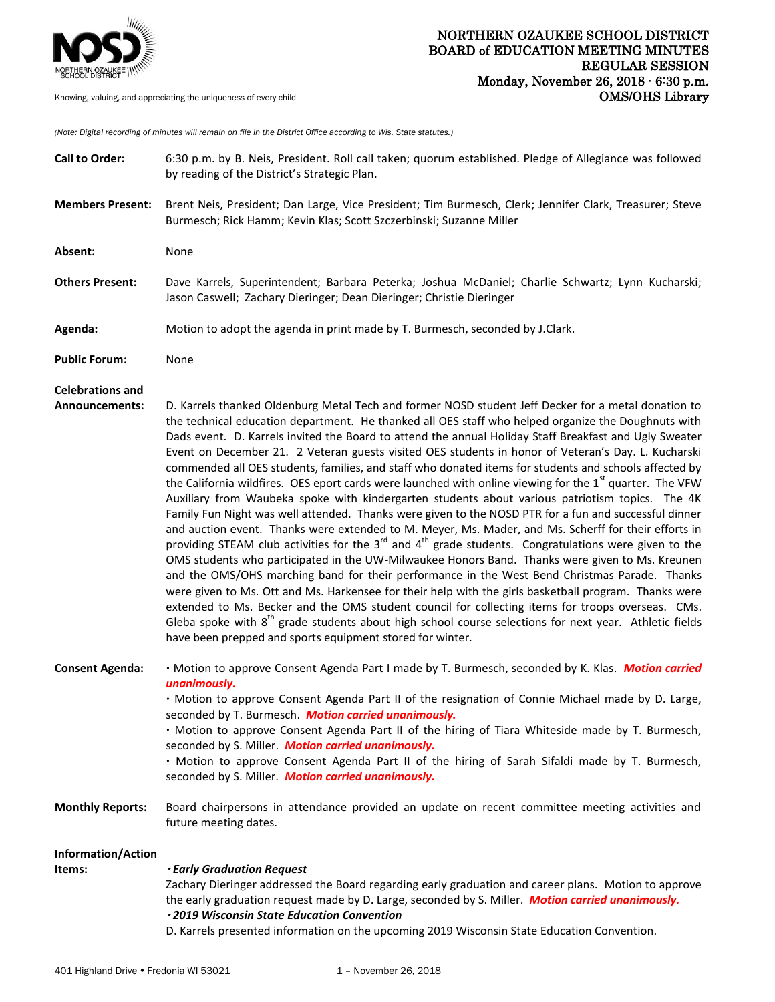

*(Note: Digital recording of minutes will remain on file in the District Office according to Wis. State statutes.)*

| <b>Call to Order:</b>                            | 6:30 p.m. by B. Neis, President. Roll call taken; quorum established. Pledge of Allegiance was followed<br>by reading of the District's Strategic Plan.                                                                                                                                                                                                                                                                                                                                                                                                                                                                                                                                                                                                                                                                                                                                                                                                                                                                                                                                                                                                                                                                                                                                                                                                                                                                                                                                                                                                                                                                                                                                                                 |
|--------------------------------------------------|-------------------------------------------------------------------------------------------------------------------------------------------------------------------------------------------------------------------------------------------------------------------------------------------------------------------------------------------------------------------------------------------------------------------------------------------------------------------------------------------------------------------------------------------------------------------------------------------------------------------------------------------------------------------------------------------------------------------------------------------------------------------------------------------------------------------------------------------------------------------------------------------------------------------------------------------------------------------------------------------------------------------------------------------------------------------------------------------------------------------------------------------------------------------------------------------------------------------------------------------------------------------------------------------------------------------------------------------------------------------------------------------------------------------------------------------------------------------------------------------------------------------------------------------------------------------------------------------------------------------------------------------------------------------------------------------------------------------------|
| <b>Members Present:</b>                          | Brent Neis, President; Dan Large, Vice President; Tim Burmesch, Clerk; Jennifer Clark, Treasurer; Steve<br>Burmesch; Rick Hamm; Kevin Klas; Scott Szczerbinski; Suzanne Miller                                                                                                                                                                                                                                                                                                                                                                                                                                                                                                                                                                                                                                                                                                                                                                                                                                                                                                                                                                                                                                                                                                                                                                                                                                                                                                                                                                                                                                                                                                                                          |
| Absent:                                          | None                                                                                                                                                                                                                                                                                                                                                                                                                                                                                                                                                                                                                                                                                                                                                                                                                                                                                                                                                                                                                                                                                                                                                                                                                                                                                                                                                                                                                                                                                                                                                                                                                                                                                                                    |
| <b>Others Present:</b>                           | Dave Karrels, Superintendent; Barbara Peterka; Joshua McDaniel; Charlie Schwartz; Lynn Kucharski;<br>Jason Caswell; Zachary Dieringer; Dean Dieringer; Christie Dieringer                                                                                                                                                                                                                                                                                                                                                                                                                                                                                                                                                                                                                                                                                                                                                                                                                                                                                                                                                                                                                                                                                                                                                                                                                                                                                                                                                                                                                                                                                                                                               |
| Agenda:                                          | Motion to adopt the agenda in print made by T. Burmesch, seconded by J.Clark.                                                                                                                                                                                                                                                                                                                                                                                                                                                                                                                                                                                                                                                                                                                                                                                                                                                                                                                                                                                                                                                                                                                                                                                                                                                                                                                                                                                                                                                                                                                                                                                                                                           |
| <b>Public Forum:</b>                             | None                                                                                                                                                                                                                                                                                                                                                                                                                                                                                                                                                                                                                                                                                                                                                                                                                                                                                                                                                                                                                                                                                                                                                                                                                                                                                                                                                                                                                                                                                                                                                                                                                                                                                                                    |
| <b>Celebrations and</b><br><b>Announcements:</b> | D. Karrels thanked Oldenburg Metal Tech and former NOSD student Jeff Decker for a metal donation to<br>the technical education department. He thanked all OES staff who helped organize the Doughnuts with<br>Dads event. D. Karrels invited the Board to attend the annual Holiday Staff Breakfast and Ugly Sweater<br>Event on December 21. 2 Veteran guests visited OES students in honor of Veteran's Day. L. Kucharski<br>commended all OES students, families, and staff who donated items for students and schools affected by<br>the California wildfires. OES eport cards were launched with online viewing for the 1 <sup>st</sup> quarter. The VFW<br>Auxiliary from Waubeka spoke with kindergarten students about various patriotism topics. The 4K<br>Family Fun Night was well attended. Thanks were given to the NOSD PTR for a fun and successful dinner<br>and auction event. Thanks were extended to M. Meyer, Ms. Mader, and Ms. Scherff for their efforts in<br>providing STEAM club activities for the 3 <sup>rd</sup> and 4 <sup>th</sup> grade students. Congratulations were given to the<br>OMS students who participated in the UW-Milwaukee Honors Band. Thanks were given to Ms. Kreunen<br>and the OMS/OHS marching band for their performance in the West Bend Christmas Parade. Thanks<br>were given to Ms. Ott and Ms. Harkensee for their help with the girls basketball program. Thanks were<br>extended to Ms. Becker and the OMS student council for collecting items for troops overseas. CMs.<br>Gleba spoke with 8 <sup>th</sup> grade students about high school course selections for next year. Athletic fields<br>have been prepped and sports equipment stored for winter. |
| <b>Consent Agenda:</b>                           | · Motion to approve Consent Agenda Part I made by T. Burmesch, seconded by K. Klas. Motion carried<br>unanimously.<br>. Motion to approve Consent Agenda Part II of the resignation of Connie Michael made by D. Large,<br>seconded by T. Burmesch. Motion carried unanimously.<br>. Motion to approve Consent Agenda Part II of the hiring of Tiara Whiteside made by T. Burmesch,<br>seconded by S. Miller. Motion carried unanimously.<br>. Motion to approve Consent Agenda Part II of the hiring of Sarah Sifaldi made by T. Burmesch,<br>seconded by S. Miller. Motion carried unanimously.                                                                                                                                                                                                                                                                                                                                                                                                                                                                                                                                                                                                                                                                                                                                                                                                                                                                                                                                                                                                                                                                                                                       |
| <b>Monthly Reports:</b>                          | Board chairpersons in attendance provided an update on recent committee meeting activities and<br>future meeting dates.                                                                                                                                                                                                                                                                                                                                                                                                                                                                                                                                                                                                                                                                                                                                                                                                                                                                                                                                                                                                                                                                                                                                                                                                                                                                                                                                                                                                                                                                                                                                                                                                 |
| Information/Action<br>Items:                     | <b>Early Graduation Request</b><br>Zachary Dieringer addressed the Board regarding early graduation and career plans. Motion to approve<br>the early graduation request made by D. Large, seconded by S. Miller. Motion carried unanimously.<br>· 2019 Wisconsin State Education Convention<br>D. Karrels presented information on the upcoming 2019 Wisconsin State Education Convention.                                                                                                                                                                                                                                                                                                                                                                                                                                                                                                                                                                                                                                                                                                                                                                                                                                                                                                                                                                                                                                                                                                                                                                                                                                                                                                                              |